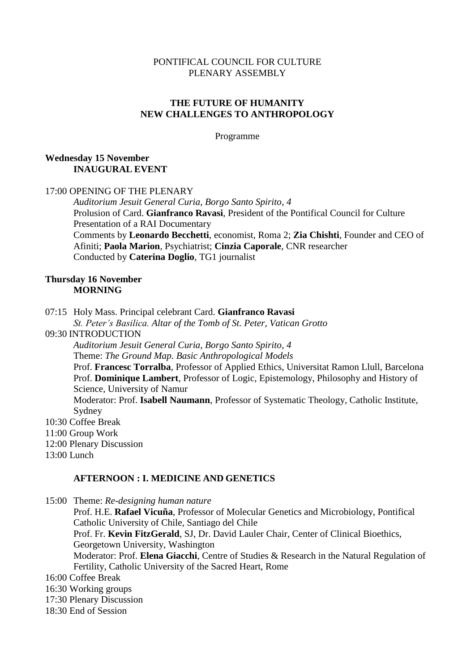#### PONTIFICAL COUNCIL FOR CULTURE PLENARY ASSEMBLY

## **THE FUTURE OF HUMANITY NEW CHALLENGES TO ANTHROPOLOGY**

Programme

## **Wednesday 15 November INAUGURAL EVENT**

## 17:00 OPENING OF THE PLENARY

*Auditorium Jesuit General Curia, Borgo Santo Spirito, 4* Prolusion of Card. **Gianfranco Ravasi**, President of the Pontifical Council for Culture Presentation of a RAI Documentary Comments by **Leonardo Becchetti**, economist, Roma 2; **Zia Chishti**, Founder and CEO of Afiniti; **Paola Marion**, Psychiatrist; **Cinzia Caporale**, CNR researcher Conducted by **Caterina Doglio**, TG1 journalist

#### **Thursday 16 November MORNING**

07:15 Holy Mass. Principal celebrant Card. **Gianfranco Ravasi**

*St. Peter's Basilica. Altar of the Tomb of St. Peter, Vatican Grotto*

09:30 INTRODUCTION

*Auditorium Jesuit General Curia, Borgo Santo Spirito, 4* Theme: *The Ground Map. Basic Anthropological Models* Prof. **Francesc Torralba**, Professor of Applied Ethics, Universitat Ramon Llull, Barcelona Prof. **Dominique Lambert**, Professor of Logic, Epistemology, Philosophy and History of Science, University of Namur Moderator: Prof. **Isabell Naumann**, Professor of Systematic Theology, Catholic Institute,

- Sydney
- 10:30 Coffee Break
- 11:00 Group Work
- 12:00 Plenary Discussion
- 13:00 Lunch

#### **AFTERNOON : I. MEDICINE AND GENETICS**

15:00 Theme: *Re-designing human nature* Prof. H.E. **Rafael Vicuña**, Professor of Molecular Genetics and Microbiology, Pontifical Catholic University of Chile, Santiago del Chile Prof. Fr. **Kevin FitzGerald**, SJ, Dr. David Lauler Chair, Center of Clinical Bioethics, Georgetown University, Washington Moderator: Prof. **Elena Giacchi**, Centre of Studies & Research in the Natural Regulation of Fertility, Catholic University of the Sacred Heart, Rome 16:00 Coffee Break 16:30 Working groups 17:30 Plenary Discussion

18:30 End of Session